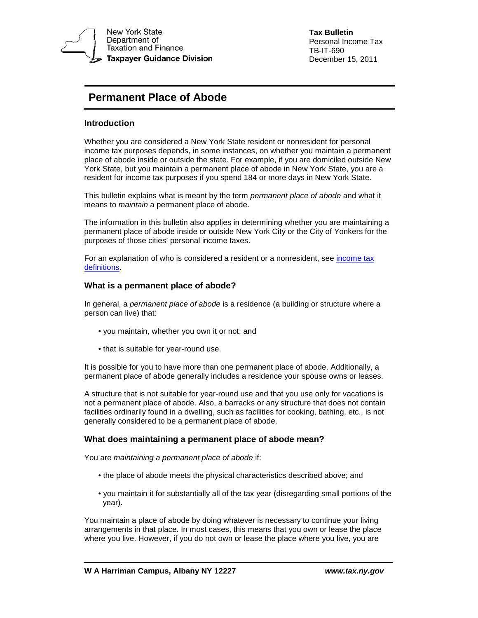

**Tax Bulletin** Personal Income Tax TB-IT-690 December 15, 2011

# **Permanent Place of Abode**

# **Introduction**

Whether you are considered a New York State resident or nonresident for personal income tax purposes depends, in some instances, on whether you maintain a permanent place of abode inside or outside the state. For example, if you are domiciled outside New York State, but you maintain a permanent place of abode in New York State, you are a resident for income tax purposes if you spend 184 or more days in New York State.

This bulletin explains what is meant by the term *permanent place of abode* and what it means to *maintain* a permanent place of abode.

The information in this bulletin also applies in determining whether you are maintaining a permanent place of abode inside or outside New York City or the City of Yonkers for the purposes of those cities' personal income taxes.

For an explanation of who is considered a resident or a nonresident, see [income tax](https://www.tax.ny.gov/pit/file/pit_definitions.htm)  [definitions.](https://www.tax.ny.gov/pit/file/pit_definitions.htm)

## **What is a permanent place of abode?**

In general, a *permanent place of abode* is a residence (a building or structure where a person can live) that:

- you maintain, whether you own it or not; and
- that is suitable for year-round use.

It is possible for you to have more than one permanent place of abode. Additionally, a permanent place of abode generally includes a residence your spouse owns or leases.

A structure that is not suitable for year-round use and that you use only for vacations is not a permanent place of abode. Also, a barracks or any structure that does not contain facilities ordinarily found in a dwelling, such as facilities for cooking, bathing, etc., is not generally considered to be a permanent place of abode.

## **What does maintaining a permanent place of abode mean?**

You are *maintaining a permanent place of abode* if:

- the place of abode meets the physical characteristics described above; and
- you maintain it for substantially all of the tax year (disregarding small portions of the year).

You maintain a place of abode by doing whatever is necessary to continue your living arrangements in that place. In most cases, this means that you own or lease the place where you live. However, if you do not own or lease the place where you live, you are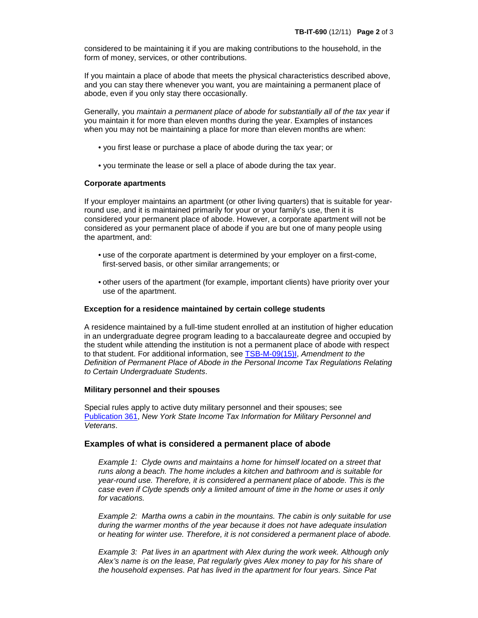considered to be maintaining it if you are making contributions to the household, in the form of money, services, or other contributions.

If you maintain a place of abode that meets the physical characteristics described above, and you can stay there whenever you want, you are maintaining a permanent place of abode, even if you only stay there occasionally.

Generally, you *maintain a permanent place of abode for substantially all of the tax year* if you maintain it for more than eleven months during the year. Examples of instances when you may not be maintaining a place for more than eleven months are when:

- you first lease or purchase a place of abode during the tax year; or
- you terminate the lease or sell a place of abode during the tax year.

## **Corporate apartments**

If your employer maintains an apartment (or other living quarters) that is suitable for yearround use, and it is maintained primarily for your or your family's use, then it is considered your permanent place of abode. However, a corporate apartment will not be considered as your permanent place of abode if you are but one of many people using the apartment, and:

- use of the corporate apartment is determined by your employer on a first-come, first-served basis, or other similar arrangements; or
- other users of the apartment (for example, important clients) have priority over your use of the apartment.

## **Exception for a residence maintained by certain college students**

A residence maintained by a full-time student enrolled at an institution of higher education in an undergraduate degree program leading to a baccalaureate degree and occupied by the student while attending the institution is not a permanent place of abode with respect to that student. For additional information, see [TSB-M-09\(15\)I,](https://www.tax.ny.gov/pdf/memos/income/m09_15i.pdf) *Amendment to the Definition of Permanent Place of Abode in the Personal Income Tax Regulations Relating to Certain Undergraduate Students*.

## **Military personnel and their spouses**

Special rules apply to active duty military personnel and their spouses; see [Publication](https://www.tax.ny.gov/pdf/publications/income/pub361.pdf) 361, *New York State Income Tax Information for Military Personnel and Veterans*.

## **Examples of what is considered a permanent place of abode**

*Example 1: Clyde owns and maintains a home for himself located on a street that runs along a beach. The home includes a kitchen and bathroom and is suitable for year-round use. Therefore, it is considered a permanent place of abode. This is the case even if Clyde spends only a limited amount of time in the home or uses it only for vacations.* 

*Example 2: Martha owns a cabin in the mountains. The cabin is only suitable for use during the warmer months of the year because it does not have adequate insulation or heating for winter use. Therefore, it is not considered a permanent place of abode.* 

*Example 3: Pat lives in an apartment with Alex during the work week. Although only Alex's name is on the lease, Pat regularly gives Alex money to pay for his share of the household expenses. Pat has lived in the apartment for four years. Since Pat*